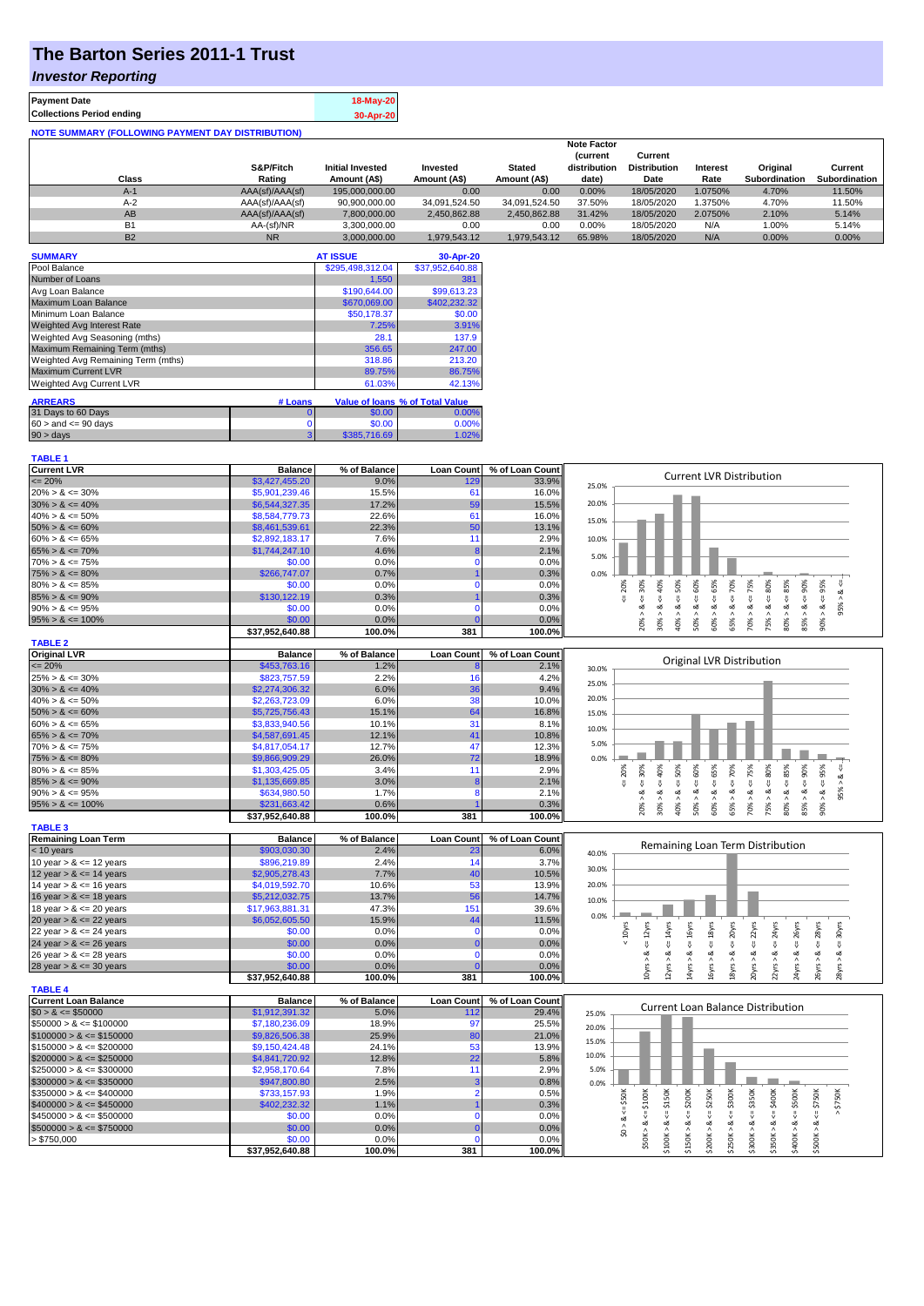# **The Barton Series 2011-1 Trust**

### *Investor Reporting*

| <b>Payment Date</b>                                      | 18-May-20 |
|----------------------------------------------------------|-----------|
| <b>Collections Period ending</b>                         | 30-Apr-20 |
| <b>NOTE SUMMARY (FOLLOWING PAYMENT DAY DISTRIBUTION)</b> |           |

|           |                 |                         |               |               | <b>Note Factor</b> |                     |                 |                      |               |
|-----------|-----------------|-------------------------|---------------|---------------|--------------------|---------------------|-----------------|----------------------|---------------|
|           |                 |                         |               |               | <b>Current</b>     | Current             |                 |                      |               |
|           | S&P/Fitch       | <b>Initial Invested</b> | Invested      | <b>Stated</b> | distribution       | <b>Distribution</b> | <b>Interest</b> | Original             | Current       |
| Class     | Rating          | Amount (A\$)            | Amount (A\$)  | Amount (A\$)  | date)              | Date                | Rate            | <b>Subordination</b> | Subordination |
| $A-1$     | AAA(sf)/AAA(sf) | 195,000,000.00          | 0.00          | 0.00          | 0.00%              | 18/05/2020          | .0750%          | 4.70%                | 11.50%        |
| $A-2$     | AAA(sf)/AAA(sf) | 90,900,000.00           | 34.091.524.50 | 34.091.524.50 | 37.50%             | 18/05/2020          | .3750%          | 4.70%                | 11.50%        |
| AB        | AAA(sf)/AAA(sf) | 7.800.000.00            | 2,450,862.88  | 2.450.862.88  | 31.42%             | 18/05/2020          | 2.0750%         | 2.10%                | 5.14%         |
| <b>B1</b> | AA-(sf)/NR      | 3.300.000.00            | 0.00          | 0.00          | 0.00%              | 18/05/2020          | N/A             | 1.00%                | 5.14%         |
| <b>B2</b> | <b>NR</b>       | 3.000.000.00            | 1.979.543.12  | 1.979.543.12  | 65.98%             | 18/05/2020          | N/A             | 0.00%                | 0.00%         |

| <b>SUMMARY</b>                     |          | <b>AT ISSUE</b>  | 30-Apr-20                       |
|------------------------------------|----------|------------------|---------------------------------|
| Pool Balance                       |          | \$295,498,312.04 | \$37,952,640.88                 |
| Number of Loans                    |          | 1,550            | 381                             |
| Avg Loan Balance                   |          | \$190,644.00     | \$99,613.23                     |
| Maximum Loan Balance               |          | \$670,069.00     | \$402,232.32                    |
| Minimum Loan Balance               |          | \$50.178.37      | \$0.00                          |
| <b>Weighted Avg Interest Rate</b>  |          | 7.25%            | 3.91%                           |
| Weighted Avg Seasoning (mths)      |          | 28.1             | 137.9                           |
| Maximum Remaining Term (mths)      |          | 356.65           | 247.00                          |
| Weighted Avg Remaining Term (mths) |          | 318.86           | 213.20                          |
| <b>Maximum Current LVR</b>         |          | 89.75%           | 86.75%                          |
| Weighted Avg Current LVR           |          | 61.03%           | 42.13%                          |
| <b>ARREARS</b>                     | # Loans  |                  | Value of Ioans % of Total Value |
| 31 Days to 60 Days                 | $\Omega$ | \$0.00           | 0.00%                           |
| $60 >$ and $\leq 90$ days          | 0        | \$0.00           | 0.00%                           |
| $90 > \text{days}$                 | 3        | \$385,716.69     | 1.02%                           |

| <b>TABLE 1</b>              |                 |              |                   |                 |                                                                                                                                                                   |
|-----------------------------|-----------------|--------------|-------------------|-----------------|-------------------------------------------------------------------------------------------------------------------------------------------------------------------|
| <b>Current LVR</b>          | <b>Balance</b>  | % of Balance | <b>Loan Count</b> | % of Loan Count |                                                                                                                                                                   |
| $\epsilon = 20\%$           | \$3,427,455.20  | 9.0%         | 129               | 33.9%           | <b>Current LVR Distribution</b><br>25.0%                                                                                                                          |
| $20\% > 8 \le 30\%$         | \$5,901,239.46  | 15.5%        | 61                | 16.0%           |                                                                                                                                                                   |
| $30\% > 8 \le 40\%$         | \$6,544,327.35  | 17.2%        | 59                | 15.5%           | 20.0%                                                                                                                                                             |
| $40\% > 8 \le 50\%$         | \$8,584,779.73  | 22.6%        | 61                | 16.0%           | 15.0%                                                                                                                                                             |
| $50\% > 8 \le 60\%$         | \$8,461,539.61  | 22.3%        | 50                | 13.1%           |                                                                                                                                                                   |
| $60\% > 8 \le 65\%$         | \$2,892,183.17  | 7.6%         | 11                | 2.9%            | 10.0%                                                                                                                                                             |
| $65\% > 8 \le 70\%$         | \$1,744,247.10  | 4.6%         | 8                 | 2.1%            |                                                                                                                                                                   |
| $70\% > 8 \le 75\%$         | \$0.00          | 0.0%         | $\mathbf 0$       | 0.0%            | 5.0%                                                                                                                                                              |
| $75\% > 8 \le 80\%$         | \$266,747.07    | 0.7%         |                   | 0.3%            | 0.0%                                                                                                                                                              |
| $80\% > 8 \le 85\%$         | \$0.00          | 0.0%         | $\Omega$          | 0.0%            | $4 = 50\%$<br>$<=60%$<br>$4 = 65\%$<br>$40\%$<br>$4 = 70\%$<br>$\leq 80\%$<br>$4 = 95\%$<br>20%                                                                   |
| $85\% > 8 \le 90\%$         | \$130,122.19    | 0.3%         |                   | 0.3%            | $<=75%$<br>$<=30\%$<br>ઌૻ                                                                                                                                         |
| $90\% > 8 \le 95\%$         | \$0.00          | 0.0%         | $\Omega$          | 0.0%            | 95%<br>ż<br>ż<br>ż                                                                                                                                                |
| $95\% > 8 \le 100\%$        | \$0.00          | 0.0%         |                   | 0.0%            | $85\% > 8 <= 90\%$<br>$80\% > 8 <= 85\%$<br>$30\% > 8.$<br>$60\% > 8.$<br>$90\% > 8.$<br>40% > 8<br>50% > 8<br>70% > 1<br>75% > i<br>20% ><br>$\wedge$<br>65%     |
|                             | \$37,952,640.88 | 100.0%       | 381               | 100.0%          |                                                                                                                                                                   |
| <b>TABLE 2</b>              |                 |              |                   |                 |                                                                                                                                                                   |
| <b>Original LVR</b>         | <b>Balance</b>  | % of Balance | <b>Loan Count</b> | % of Loan Count |                                                                                                                                                                   |
| $= 20%$                     | \$453,763.16    | 1.2%         |                   | 2.1%            | Original LVR Distribution<br>30.0%                                                                                                                                |
| $25\% > 8 \le 30\%$         | \$823,757.59    | 2.2%         | 16                | 4.2%            |                                                                                                                                                                   |
| $30\% > 8 \le 40\%$         | \$2,274,306.32  | 6.0%         | 36                | 9.4%            | 25.0%                                                                                                                                                             |
| $40\% > 8 \le 50\%$         | \$2,263,723.09  | 6.0%         | 38                | 10.0%           | 20.0%                                                                                                                                                             |
| $50\% > 8 \le 60\%$         | \$5,725,756.43  | 15.1%        | 64                | 16.8%           | 15.0%                                                                                                                                                             |
| $60\% > 8 \le 65\%$         | \$3,833,940.56  | 10.1%        | 31                | 8.1%            | 10.0%                                                                                                                                                             |
| $65\% > 8 \le 70\%$         | \$4,587,691.45  | 12.1%        | 41                | 10.8%           |                                                                                                                                                                   |
| $70\% > 8 \le 75\%$         | \$4,817,054.17  | 12.7%        | 47                | 12.3%           | 5.0%                                                                                                                                                              |
| $75\% > 8 \le 80\%$         | \$9,866,909.29  | 26.0%        | 72                | 18.9%           | 0.0%                                                                                                                                                              |
| $80\% > 8 \le 85\%$         | \$1,303,425.05  | 3.4%         | 11                | 2.9%            | 75%<br>95%<br>70%<br>30%<br>20%<br>v                                                                                                                              |
| $85\% > 8 \le 90\%$         | \$1,135,669.85  | 3.0%         | -8                | 2.1%            | $<=60%$<br>$<=65\%$<br>$8 - 80%$<br>$8 - 50%$<br>ಹ<br>₹.<br>V                                                                                                     |
| $90\% > 8 \le 95\%$         | \$634,980.50    | 1.7%         | 8                 | 2.1%            | 8 < 1<br>95% ><br>ૐ<br>∞                                                                                                                                          |
| $95\% > 8 \le 100\%$        | \$231,663.42    | 0.6%         |                   | 0.3%            | $85\% > 8 <= 90\%$<br>$80\% > 8 <= 85\%$<br>$30\% > 8 <= 40\%$<br>$70\% > 8 <=$<br>50% ><br>60% ><br>75% ><br>20% ><br>40% ><br>65% ><br>$90\%$                   |
|                             | \$37,952,640.88 | 100.0%       | 381               | 100.0%          |                                                                                                                                                                   |
| <b>TABLE 3</b>              |                 |              |                   |                 |                                                                                                                                                                   |
| <b>Remaining Loan Term</b>  | <b>Balance</b>  | % of Balance | <b>Loan Count</b> | % of Loan Count |                                                                                                                                                                   |
| < 10 years                  | \$903,030.30    | 2.4%         | 23                | 6.0%            | Remaining Loan Term Distribution<br>40.0%                                                                                                                         |
| 10 year $> 8 \le 12$ years  | \$896,219.89    | 2.4%         | 14                | 3.7%            |                                                                                                                                                                   |
| 12 year $> 8 \le 14$ years  | \$2,905,278.43  | 7.7%         | 40                | 10.5%           | 30.0%                                                                                                                                                             |
| 14 year $> 8 \le 16$ years  | \$4,019,592.70  | 10.6%        | 53                | 13.9%           | 20.0%                                                                                                                                                             |
| 16 year $> 8 \le 18$ years  | \$5,212,032.75  | 13.7%        | 56                | 14.7%           | 10.0%                                                                                                                                                             |
| 18 year $> 8 \le 20$ years  | \$17,963,881.31 | 47.3%        | 151               | 39.6%           |                                                                                                                                                                   |
| 20 year $> 8 \le 22$ years  | \$6,052,605.50  | 15.9%        | 44                | 11.5%           | 0.0%                                                                                                                                                              |
| 22 year $> 8 \le 24$ years  | \$0.00          | 0.0%         | $\mathbf 0$       | 0.0%            | 20yrs<br>28yrs<br>$4 = 30$ yrs<br>$< 10$ yrs                                                                                                                      |
| 24 year $> 8 \le 26$ years  | \$0.00          | 0.0%         |                   | 0.0%            | $\leq$ $22$ yrs<br>$\leq$ = 24yrs<br>$\leq$ = 14 $yrs$<br>$\leq$ 16 $yrs$<br>$\leq$ = 18 $yrs$<br>$\leq$ $26$ yrs<br>$\leq 12$ yrs<br>V<br>V                      |
| 26 year $> 8 \le 28$ years  | \$0.00          | 0.0%         | $\mathbf{0}$      | 0.0%            | ઌ<br>ವ                                                                                                                                                            |
| 28 year $> 8 \le 30$ years  | \$0.00          | 0.0%         |                   | 0.0%            | 4yrs > 8<br>20yrs > 8<br>22yrs > 8<br>24yrs > 8<br>10yrs > 8<br>16yrs > 8<br>26yrs > 8<br>28yrs > 8<br>12yrs > i<br>18yrs                                         |
|                             | \$37,952,640.88 | 100.0%       | 381               | 100.0%          |                                                                                                                                                                   |
| <b>TABLE 4</b>              |                 |              |                   |                 |                                                                                                                                                                   |
| <b>Current Loan Balance</b> | <b>Balance</b>  | % of Balance | <b>Loan Count</b> | % of Loan Count | <b>Current Loan Balance Distribution</b>                                                                                                                          |
| $$0 > 8 \leq $50000$        | \$1,912,391.32  | 5.0%         | 112               | 29.4%           | 25.0%                                                                                                                                                             |
| $$50000 > 8 \le $100000$    | \$7,180,236.09  | 18.9%        | 97                | 25.5%           | 20.0%                                                                                                                                                             |
| $$100000 > 8 \leq $150000$  | \$9,826,506.38  | 25.9%        | 80                | 21.0%           | 15.0%                                                                                                                                                             |
| $$150000 > 8 \leq $200000$  | \$9,150,424.48  | 24.1%        | 53                | 13.9%           |                                                                                                                                                                   |
| $$200000 > 8 \leq $250000$  | \$4,841,720.92  | 12.8%        | 22                | 5.8%            | 10.0%                                                                                                                                                             |
| $$250000 > 8 \leq $300000$  | \$2,958,170.64  | 7.8%         | 11                | 2.9%            | 5.0%                                                                                                                                                              |
| $$300000 > 8 \leq $350000$  | \$947,800.80    | 2.5%         | 3                 | 0.8%            | 0.0%                                                                                                                                                              |
| $$350000 > 8 \leq $400000$  | \$733,157.93    | 1.9%         | $\overline{2}$    | 0.5%            | \$50K                                                                                                                                                             |
| $$400000 > 8 \le $450000$   | \$402,232.32    | 1.1%         |                   | 0.3%            | $4 = $300K$<br>$4 = $350K$<br>400K<br>$$100K > 8 \Leftarrow $150K$<br>$4 = $200K$<br>\$250K<br>$\leq$ \$500K<br>$$50K > 8 \le 5100K$<br>$4 = $750K$<br>$>$ \$750K |
| $$450000 > 8 \le $500000$   | \$0.00          | 0.0%         | $\Omega$          | 0.0%            | V                                                                                                                                                                 |
| $$500000 > 8 \leq $750000$  | \$0.00          | 0.0%         | $\Omega$          | 0.0%            | \$0 > 8<br>\$150K > 8<br>\$250K > 8<br>\$300K > 8<br>\$350K > 8<br>\$400K > 8<br>\$500K > 8<br>\$200K > 8                                                         |
| > \$750,000                 | \$0.00          | 0.0%         | $\mathbf 0$       | 0.0%            |                                                                                                                                                                   |
|                             | \$37,952,640.88 | 100.0%       | 381               | 100.0%          |                                                                                                                                                                   |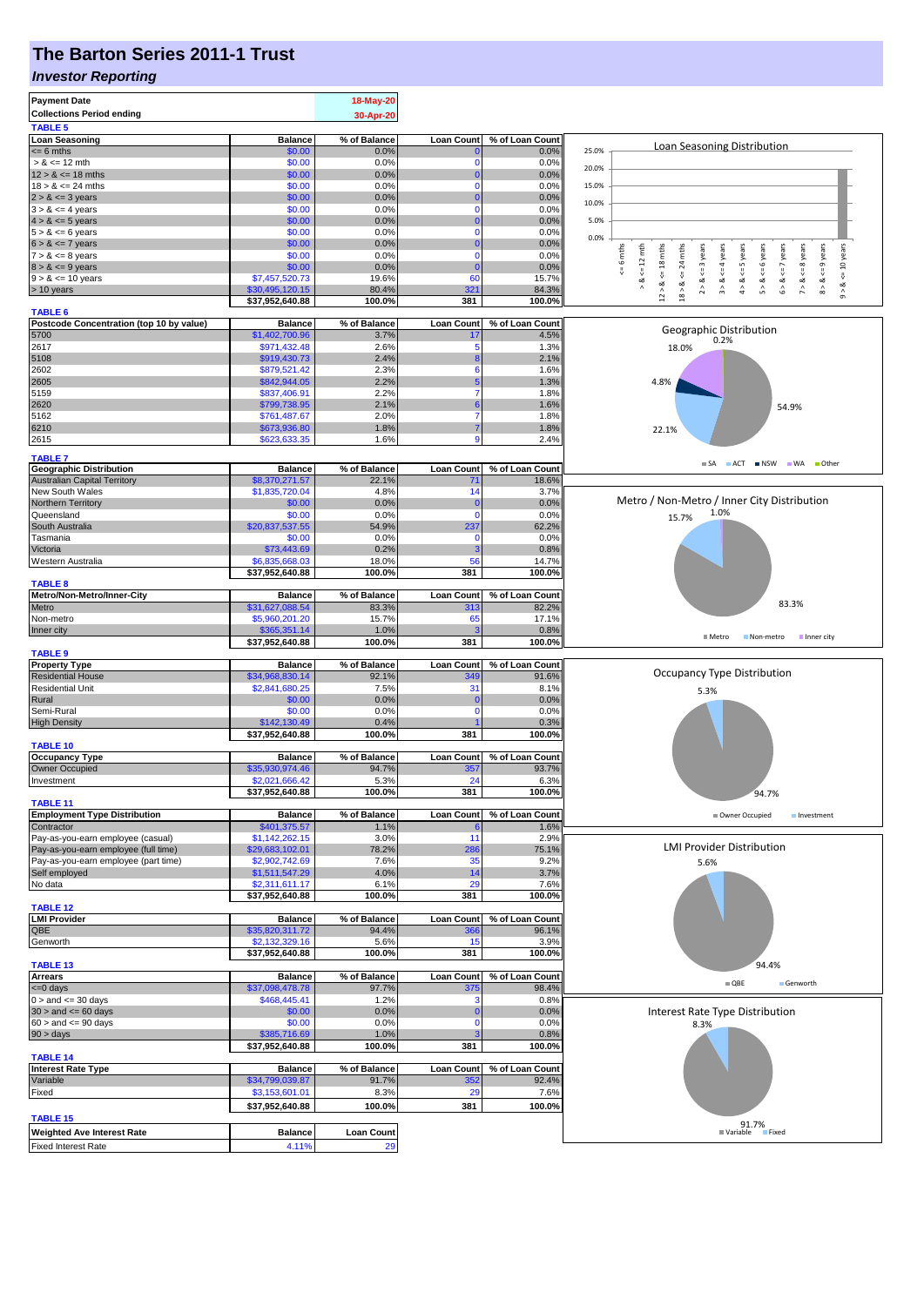## **The Barton Series 2011-1 Trust**

#### *Investor Reporting*

| <b>Payment Date</b>                                        |                                   | 18-May-20         |                      |                 |                                                                                                                                                                                                                                     |
|------------------------------------------------------------|-----------------------------------|-------------------|----------------------|-----------------|-------------------------------------------------------------------------------------------------------------------------------------------------------------------------------------------------------------------------------------|
| <b>Collections Period ending</b>                           |                                   | 30-Apr-20         |                      |                 |                                                                                                                                                                                                                                     |
| <b>TABLE 5</b>                                             |                                   |                   |                      |                 |                                                                                                                                                                                                                                     |
| <b>Loan Seasoning</b>                                      | <b>Balance</b>                    | % of Balance      | <b>Loan Count</b>    | % of Loan Count | Loan Seasoning Distribution<br>25.0%                                                                                                                                                                                                |
| $= 6$ mths<br>$> 8 \le 12$ mth                             | \$0.00<br>\$0.00                  | 0.0%<br>0.0%      | 0                    | 0.0%<br>0.0%    |                                                                                                                                                                                                                                     |
| $12 > 8 \le 18$ mths                                       | \$0.00                            | 0.0%              | $\overline{0}$       | 0.0%            | 20.0%                                                                                                                                                                                                                               |
| $18 > 8 \le 24$ mths                                       | \$0.00                            | 0.0%              | $\mathbf 0$          | 0.0%            | 15.0%                                                                                                                                                                                                                               |
| $2 > 8 \le 3$ years                                        | \$0.00                            | 0.0%              | $\Omega$             | 0.0%            | 10.0%                                                                                                                                                                                                                               |
| $3 > 8 \le 4$ years                                        | \$0.00                            | 0.0%              | 0                    | 0.0%            |                                                                                                                                                                                                                                     |
| $4 > 8 \le 5$ years                                        | \$0.00                            | 0.0%              | $\Omega$             | 0.0%            | 5.0%                                                                                                                                                                                                                                |
| $5 > 8 \le 6$ years<br>$6 > 8 \le 7$ years                 | \$0.00<br>\$0.00                  | 0.0%<br>0.0%      | 0<br>$\Omega$        | 0.0%<br>0.0%    | 0.0%                                                                                                                                                                                                                                |
| $7 > 8 \le 8$ years                                        | \$0.00                            | 0.0%              | 0                    | 0.0%            | 24 mths<br>$8 > 8 < = 9$ years<br>6 mths<br>$\leq 12$ mth<br>$12 > 8 < 18$ mths<br>$2 > 8 < z = 3$ years<br><= 10 years<br>$4 > 8 < z = 5$ years<br>$5 > 8$ <= 6 years<br>$6 > 8 < z < 7$ years<br>$3 > 8$ <= 4 years<br>es & years |
| $8 > 8 \le 9$ years                                        | \$0.00                            | 0.0%              | $\mathbf{0}$         | 0.0%            |                                                                                                                                                                                                                                     |
| $9 > 8 \le 10$ years                                       | \$7,457,520.73                    | 19.6%             | 60                   | 15.7%           | V<br>∞<br>œ                                                                                                                                                                                                                         |
| > 10 years                                                 | \$30,495,120.15                   | 80.4%             | 321                  | 84.3%           | 7 > 8<br>$9 - 8$<br>$\wedge$<br>$18$ $\times$                                                                                                                                                                                       |
|                                                            | \$37,952,640.88                   | 100.0%            | 381                  | 100.0%          |                                                                                                                                                                                                                                     |
| <b>TABLE 6</b><br>Postcode Concentration (top 10 by value) | <b>Balance</b>                    | % of Balance      | <b>Loan Count</b>    | % of Loan Count |                                                                                                                                                                                                                                     |
| 5700                                                       | \$1,402,700.96                    | 3.7%              | 17                   | 4.5%            | Geographic Distribution                                                                                                                                                                                                             |
| 2617                                                       | \$971,432.48                      | 2.6%              | 5                    | 1.3%            | 0.2%<br>18.0%                                                                                                                                                                                                                       |
| 5108                                                       | \$919,430.73                      | 2.4%              | ε                    | 2.1%            |                                                                                                                                                                                                                                     |
| 2602                                                       | \$879,521.42                      | 2.3%              | 6                    | 1.6%            |                                                                                                                                                                                                                                     |
| 2605                                                       | \$842,944.05                      | 2.2%              |                      | 1.3%            | 4.8%                                                                                                                                                                                                                                |
| 5159                                                       | \$837,406.91                      | 2.2%              | 7                    | 1.8%            |                                                                                                                                                                                                                                     |
| 2620<br>5162                                               | \$799,738.95<br>\$761,487.67      | 2.1%<br>2.0%      | 6<br>7               | 1.6%<br>1.8%    | 54.9%                                                                                                                                                                                                                               |
| 6210                                                       | \$673,936.80                      | 1.8%              | 7                    | 1.8%            | 22.1%                                                                                                                                                                                                                               |
| 2615                                                       | \$623,633.35                      | 1.6%              | 9                    | 2.4%            |                                                                                                                                                                                                                                     |
|                                                            |                                   |                   |                      |                 |                                                                                                                                                                                                                                     |
| <b>TABLE 7</b><br><b>Geographic Distribution</b>           | <b>Balance</b>                    | % of Balance      | <b>Loan Count</b>    | % of Loan Count | SA ACT NSW WA Other                                                                                                                                                                                                                 |
| Australian Capital Territory                               | \$8,370,271.57                    | 22.1%             | 71                   | 18.6%           |                                                                                                                                                                                                                                     |
| New South Wales                                            | \$1,835,720.04                    | 4.8%              | 14                   | 3.7%            |                                                                                                                                                                                                                                     |
| Northern Territory                                         | \$0.00                            | 0.0%              | 0                    | 0.0%            | Metro / Non-Metro / Inner City Distribution                                                                                                                                                                                         |
| Queensland                                                 | \$0.00                            | 0.0%              | $\Omega$             | 0.0%            | 1.0%<br>15.7%                                                                                                                                                                                                                       |
| South Australia                                            | \$20,837,537.55                   | 54.9%             | 237                  | 62.2%           |                                                                                                                                                                                                                                     |
| Tasmania                                                   | \$0.00                            | 0.0%              | $\mathbf 0$          | 0.0%            |                                                                                                                                                                                                                                     |
| Victoria<br>Western Australia                              | \$73,443.69<br>\$6,835,668.03     | 0.2%<br>18.0%     | з<br>56              | 0.8%<br>14.7%   |                                                                                                                                                                                                                                     |
|                                                            | \$37,952,640.88                   | 100.0%            | 381                  | 100.0%          |                                                                                                                                                                                                                                     |
| <b>TABLE 8</b>                                             |                                   |                   |                      |                 |                                                                                                                                                                                                                                     |
| Metro/Non-Metro/Inner-City                                 | <b>Balance</b>                    | % of Balance      | <b>Loan Count</b>    | % of Loan Count | 83.3%                                                                                                                                                                                                                               |
| Metro                                                      | \$31,627,088.54                   | 83.3%             | 313                  | 82.2%           |                                                                                                                                                                                                                                     |
| Non-metro                                                  | \$5,960,201.20<br>\$365,351.14    | 15.7%<br>1.0%     | 65                   | 17.1%<br>0.8%   |                                                                                                                                                                                                                                     |
| Inner city                                                 | \$37,952,640.88                   | 100.0%            | 381                  | 100.0%          | $M$ Metro<br>Non-metro<br>Inner city                                                                                                                                                                                                |
| <b>TABLE 9</b>                                             |                                   |                   |                      |                 |                                                                                                                                                                                                                                     |
| <b>Property Type</b>                                       | <b>Balance</b>                    | % of Balance      | <b>Loan Count</b>    | % of Loan Count |                                                                                                                                                                                                                                     |
| <b>Residential House</b>                                   | \$34,968,830.14                   | 92.1%             | 349                  | 91.6%           | Occupancy Type Distribution                                                                                                                                                                                                         |
| <b>Residential Unit</b>                                    | \$2,841,680.25                    | 7.5%              | 31                   | 8.1%            | 5.3%                                                                                                                                                                                                                                |
| Rural                                                      | \$0.00                            | 0.0%              | $\bf{0}$<br>$\Omega$ | 0.0%            |                                                                                                                                                                                                                                     |
| Semi-Rural<br><b>High Density</b>                          | \$0.00<br>\$142,130.49            | 0.0%<br>0.4%      |                      | 0.0%<br>0.3%    |                                                                                                                                                                                                                                     |
|                                                            | \$37,952,640.88                   | 100.0%            | 381                  | 100.0%          |                                                                                                                                                                                                                                     |
| <b>TABLE 10</b>                                            |                                   |                   |                      |                 |                                                                                                                                                                                                                                     |
| <b>Occupancy Type</b>                                      | <b>Balance</b>                    | % of Balance      | <b>Loan Count</b>    | % of Loan Count |                                                                                                                                                                                                                                     |
| Owner Occupied                                             | \$35,930,974.46                   | 94.7%             | 357                  | 93.7%           |                                                                                                                                                                                                                                     |
| Investment                                                 | \$2,021,666.42<br>\$37,952,640.88 | 5.3%              | 24                   | 6.3%            |                                                                                                                                                                                                                                     |
| <b>TABLE 11</b>                                            |                                   | 100.0%            | 381                  | 100.0%          | 94.7%                                                                                                                                                                                                                               |
| <b>Employment Type Distribution</b>                        | <b>Balance</b>                    | % of Balance      | <b>Loan Count</b>    | % of Loan Count | Owner Occupied<br>Investment                                                                                                                                                                                                        |
| Contractor                                                 | \$401,375.57                      | 1.1%              | 6                    | 1.6%            |                                                                                                                                                                                                                                     |
| Pay-as-you-earn employee (casual)                          | \$1,142,262.15                    | 3.0%              | 11                   | 2.9%            |                                                                                                                                                                                                                                     |
| Pay-as-you-earn employee (full time)                       | \$29,683,102.01                   | 78.2%             | 286                  | 75.1%           | <b>LMI Provider Distribution</b>                                                                                                                                                                                                    |
| Pay-as-you-earn employee (part time)<br>Self employed      | \$2,902,742.69<br>\$1,511,547.29  | 7.6%<br>4.0%      | 35<br>14             | 9.2%<br>3.7%    | 5.6%                                                                                                                                                                                                                                |
| No data                                                    | \$2,311,611.17                    | 6.1%              | 29                   | 7.6%            |                                                                                                                                                                                                                                     |
|                                                            | \$37,952,640.88                   | 100.0%            | 381                  | 100.0%          |                                                                                                                                                                                                                                     |
| <b>TABLE 12</b>                                            |                                   |                   |                      |                 |                                                                                                                                                                                                                                     |
| <b>LMI Provider</b>                                        | <b>Balance</b>                    | % of Balance      | <b>Loan Count</b>    | % of Loan Count |                                                                                                                                                                                                                                     |
| QBE                                                        | \$35,820,311.72<br>\$2,132,329.16 | 94.4%             | 366                  | 96.1%           |                                                                                                                                                                                                                                     |
| Genworth                                                   | \$37,952,640.88                   | 5.6%<br>100.0%    | 15<br>381            | 3.9%<br>100.0%  |                                                                                                                                                                                                                                     |
| TABLE <sub>13</sub>                                        |                                   |                   |                      |                 | 94.4%                                                                                                                                                                                                                               |
| <b>Arrears</b>                                             | <b>Balance</b>                    | % of Balance      | <b>Loan Count</b>    | % of Loan Count | $\blacksquare$ QBE                                                                                                                                                                                                                  |
| $\leq 0$ days                                              | \$37,098,478.78                   | 97.7%             | 375                  | 98.4%           | Genworth                                                                                                                                                                                                                            |
| $0 >$ and $\leq 30$ days                                   | \$468,445.41                      | 1.2%              | з                    | 0.8%            |                                                                                                                                                                                                                                     |
| $30 >$ and $\leq 60$ days<br>$60 >$ and $\leq 90$ days     | \$0.00                            | 0.0%              | $\bf{0}$<br>0        | 0.0%            | Interest Rate Type Distribution                                                                                                                                                                                                     |
| 90 > days                                                  | \$0.00<br>\$385,716.69            | 0.0%<br>1.0%      |                      | 0.0%<br>0.8%    | 8.3%                                                                                                                                                                                                                                |
|                                                            | \$37,952,640.88                   | 100.0%            | 381                  | 100.0%          |                                                                                                                                                                                                                                     |
| <b>TABLE 14</b>                                            |                                   |                   |                      |                 |                                                                                                                                                                                                                                     |
| <b>Interest Rate Type</b>                                  | <b>Balance</b>                    | % of Balance      | <b>Loan Count</b>    | % of Loan Count |                                                                                                                                                                                                                                     |
| Variable                                                   | \$34,799,039.87                   | 91.7%             | 352                  | 92.4%           |                                                                                                                                                                                                                                     |
| Fixed                                                      | \$3,153,601.01                    | 8.3%              | 29                   | 7.6%            |                                                                                                                                                                                                                                     |
| <b>TABLE 15</b>                                            | \$37,952,640.88                   | 100.0%            | 381                  | 100.0%          |                                                                                                                                                                                                                                     |
|                                                            |                                   |                   |                      |                 | 91.7%<br>iable Fixed<br><b>■</b> Variable                                                                                                                                                                                           |
| <b>Weighted Ave Interest Rate</b>                          | <b>Balance</b>                    | <b>Loan Count</b> |                      |                 |                                                                                                                                                                                                                                     |
| <b>Fixed Interest Rate</b>                                 | 4.11%                             | 29                |                      |                 |                                                                                                                                                                                                                                     |